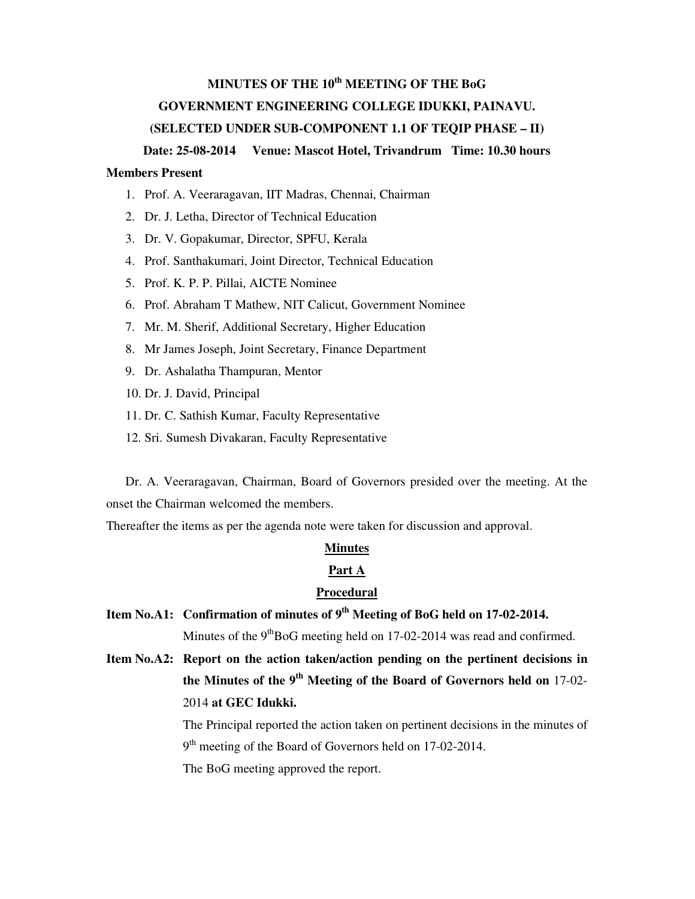# **MINUTES OF THE 10th MEETING OF THE BoG GOVERNMENT ENGINEERING COLLEGE IDUKKI, PAINAVU. (SELECTED UNDER SUB-COMPONENT 1.1 OF TEQIP PHASE – II)**

#### **Date: 25-08-2014 Venue: Mascot Hotel, Trivandrum Time: 10.30 hours**

## **Members Present**

- 1. Prof. A. Veeraragavan, IIT Madras, Chennai, Chairman
- 2. Dr. J. Letha, Director of Technical Education
- 3. Dr. V. Gopakumar, Director, SPFU, Kerala
- 4. Prof. Santhakumari, Joint Director, Technical Education
- 5. Prof. K. P. P. Pillai, AICTE Nominee
- 6. Prof. Abraham T Mathew, NIT Calicut, Government Nominee
- 7. Mr. M. Sherif, Additional Secretary, Higher Education
- 8. Mr James Joseph, Joint Secretary, Finance Department
- 9. Dr. Ashalatha Thampuran, Mentor
- 10. Dr. J. David, Principal
- 11. Dr. C. Sathish Kumar, Faculty Representative
- 12. Sri. Sumesh Divakaran, Faculty Representative

Dr. A. Veeraragavan, Chairman, Board of Governors presided over the meeting. At the onset the Chairman welcomed the members.

Thereafter the items as per the agenda note were taken for discussion and approval.

#### **Minutes**

#### **Part A**

### **Procedural**

**Item No.A1: Confirmation of minutes of 9th Meeting of BoG held on 17-02-2014.** 

Minutes of the  $9<sup>th</sup>BoG$  meeting held on 17-02-2014 was read and confirmed.

**Item No.A2: Report on the action taken/action pending on the pertinent decisions in the Minutes of the 9th Meeting of the Board of Governors held on** 17-02- 2014 **at GEC Idukki.** 

> The Principal reported the action taken on pertinent decisions in the minutes of 9<sup>th</sup> meeting of the Board of Governors held on 17-02-2014.

The BoG meeting approved the report.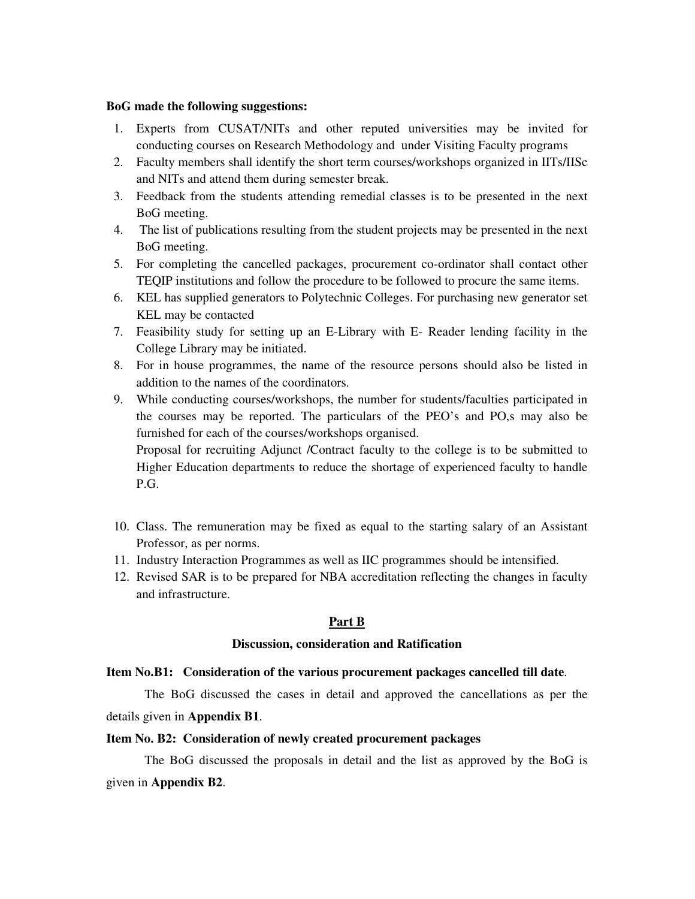#### **BoG made the following suggestions:**

- 1. Experts from CUSAT/NITs and other reputed universities may be invited for conducting courses on Research Methodology and under Visiting Faculty programs
- 2. Faculty members shall identify the short term courses/workshops organized in IITs/IISc and NITs and attend them during semester break.
- 3. Feedback from the students attending remedial classes is to be presented in the next BoG meeting.
- 4. The list of publications resulting from the student projects may be presented in the next BoG meeting.
- 5. For completing the cancelled packages, procurement co-ordinator shall contact other TEQIP institutions and follow the procedure to be followed to procure the same items.
- 6. KEL has supplied generators to Polytechnic Colleges. For purchasing new generator set KEL may be contacted
- 7. Feasibility study for setting up an E-Library with E- Reader lending facility in the College Library may be initiated.
- 8. For in house programmes, the name of the resource persons should also be listed in addition to the names of the coordinators.
- 9. While conducting courses/workshops, the number for students/faculties participated in the courses may be reported. The particulars of the PEO's and PO,s may also be furnished for each of the courses/workshops organised. Proposal for recruiting Adjunct /Contract faculty to the college is to be submitted to Higher Education departments to reduce the shortage of experienced faculty to handle P.G.
- 10. Class. The remuneration may be fixed as equal to the starting salary of an Assistant Professor, as per norms.
- 11. Industry Interaction Programmes as well as IIC programmes should be intensified.
- 12. Revised SAR is to be prepared for NBA accreditation reflecting the changes in faculty and infrastructure.

## **Part B**

### **Discussion, consideration and Ratification**

### **Item No.B1: Consideration of the various procurement packages cancelled till date**.

The BoG discussed the cases in detail and approved the cancellations as per the details given in **Appendix B1**.

### **Item No. B2: Consideration of newly created procurement packages**

The BoG discussed the proposals in detail and the list as approved by the BoG is given in **Appendix B2**.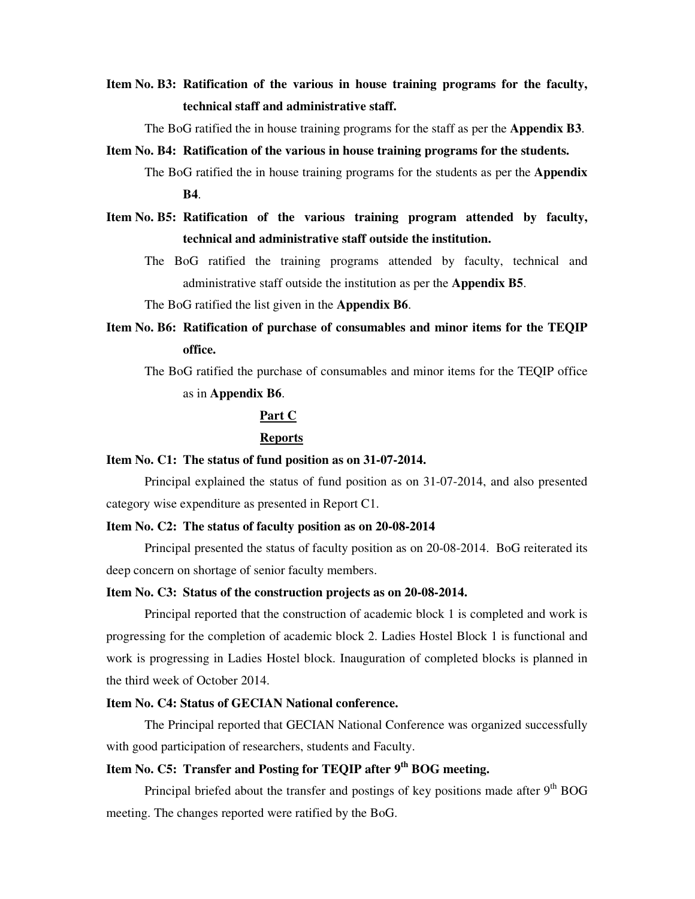## **Item No. B3: Ratification of the various in house training programs for the faculty, technical staff and administrative staff.**

The BoG ratified the in house training programs for the staff as per the **Appendix B3**.

#### **Item No. B4: Ratification of the various in house training programs for the students.**

- The BoG ratified the in house training programs for the students as per the **Appendix B4**.
- **Item No. B5: Ratification of the various training program attended by faculty, technical and administrative staff outside the institution.** 
	- The BoG ratified the training programs attended by faculty, technical and administrative staff outside the institution as per the **Appendix B5**.

The BoG ratified the list given in the **Appendix B6**.

**Item No. B6: Ratification of purchase of consumables and minor items for the TEQIP office.** 

The BoG ratified the purchase of consumables and minor items for the TEQIP office as in **Appendix B6**.

## **Part C**

#### **Reports**

#### **Item No. C1: The status of fund position as on 31-07-2014.**

Principal explained the status of fund position as on 31-07-2014, and also presented category wise expenditure as presented in Report C1.

#### **Item No. C2: The status of faculty position as on 20-08-2014**

Principal presented the status of faculty position as on 20-08-2014. BoG reiterated its deep concern on shortage of senior faculty members.

#### **Item No. C3: Status of the construction projects as on 20-08-2014.**

Principal reported that the construction of academic block 1 is completed and work is progressing for the completion of academic block 2. Ladies Hostel Block 1 is functional and work is progressing in Ladies Hostel block. Inauguration of completed blocks is planned in the third week of October 2014.

## **Item No. C4: Status of GECIAN National conference.**

The Principal reported that GECIAN National Conference was organized successfully with good participation of researchers, students and Faculty.

## **Item No. C5: Transfer and Posting for TEQIP after 9th BOG meeting.**

Principal briefed about the transfer and postings of key positions made after  $9<sup>th</sup>$  BOG meeting. The changes reported were ratified by the BoG.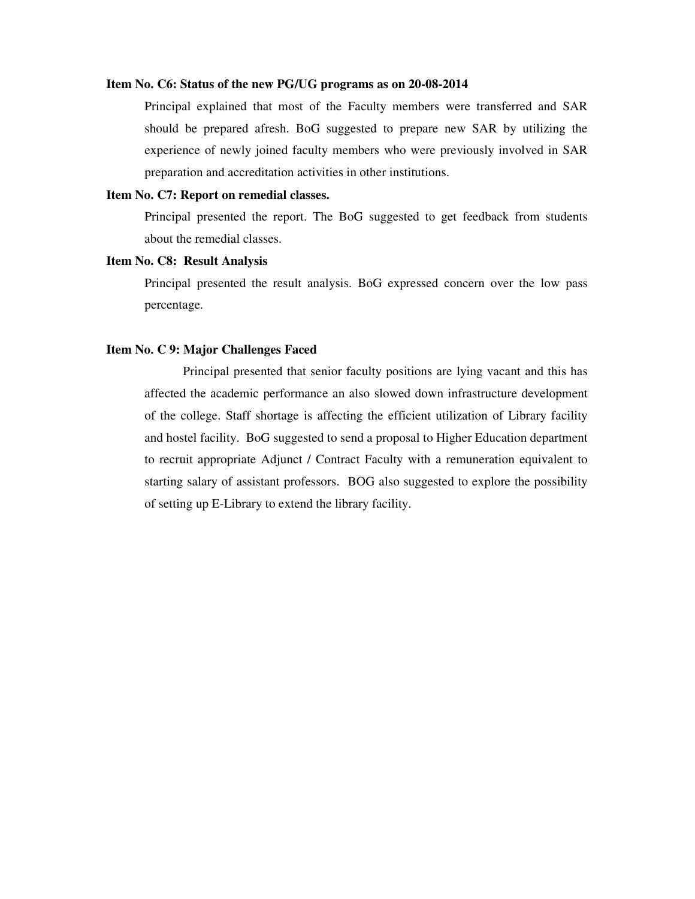#### **Item No. C6: Status of the new PG/UG programs as on 20-08-2014**

Principal explained that most of the Faculty members were transferred and SAR should be prepared afresh. BoG suggested to prepare new SAR by utilizing the experience of newly joined faculty members who were previously involved in SAR preparation and accreditation activities in other institutions.

#### **Item No. C7: Report on remedial classes.**

Principal presented the report. The BoG suggested to get feedback from students about the remedial classes.

### **Item No. C8: Result Analysis**

Principal presented the result analysis. BoG expressed concern over the low pass percentage.

#### **Item No. C 9: Major Challenges Faced**

Principal presented that senior faculty positions are lying vacant and this has affected the academic performance an also slowed down infrastructure development of the college. Staff shortage is affecting the efficient utilization of Library facility and hostel facility. BoG suggested to send a proposal to Higher Education department to recruit appropriate Adjunct / Contract Faculty with a remuneration equivalent to starting salary of assistant professors. BOG also suggested to explore the possibility of setting up E-Library to extend the library facility.